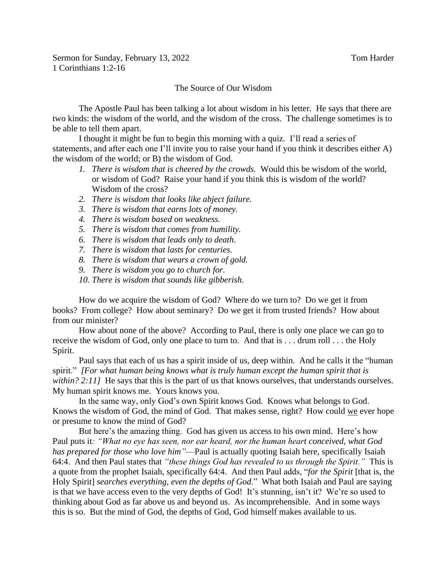Sermon for Sunday, February 13, 2022 Tom Harder 1 Corinthians 1:2-16

## The Source of Our Wisdom

The Apostle Paul has been talking a lot about wisdom in his letter. He says that there are two kinds: the wisdom of the world, and the wisdom of the cross. The challenge sometimes is to be able to tell them apart.

I thought it might be fun to begin this morning with a quiz. I'll read a series of statements, and after each one I'll invite you to raise your hand if you think it describes either A) the wisdom of the world; or B) the wisdom of God.

- *1. There is wisdom that is cheered by the crowds.* Would this be wisdom of the world, or wisdom of God? Raise your hand if you think this is wisdom of the world? Wisdom of the cross?
- *2. There is wisdom that looks like abject failure.*
- *3. There is wisdom that earns lots of money.*
- *4. There is wisdom based on weakness.*
- *5. There is wisdom that comes from humility.*
- *6. There is wisdom that leads only to death.*
- *7. There is wisdom that lasts for centuries.*
- *8. There is wisdom that wears a crown of gold.*
- *9. There is wisdom you go to church for.*
- *10. There is wisdom that sounds like gibberish.*

How do we acquire the wisdom of God? Where do we turn to? Do we get it from books? From college? How about seminary? Do we get it from trusted friends? How about from our minister?

How about none of the above? According to Paul, there is only one place we can go to receive the wisdom of God, only one place to turn to. And that is . . . drum roll . . . the Holy Spirit.

Paul says that each of us has a spirit inside of us, deep within. And he calls it the "human spirit." *[For what human being knows what is truly human except the human spirit that is within?* 2:11] He says that this is the part of us that knows ourselves, that understands ourselves. My human spirit knows me. Yours knows you.

In the same way, only God's own Spirit knows God. Knows what belongs to God. Knows the wisdom of God, the mind of God. That makes sense, right? How could we ever hope or presume to know the mind of God?

But here's the amazing thing. God has given us access to his own mind. Here's how Paul puts it*: "What no eye has seen, nor ear heard, nor the human heart conceived, what God has prepared for those who love him"*—Paul is actually quoting Isaiah here, specifically Isaiah 64:4. And then Paul states that *"these things God has revealed to us through the Spirit."* This is a quote from the prophet Isaiah, specifically 64:4. And then Paul adds, "*for the Spirit* [that is, the Holy Spirit] *searches everything, even the depths of God*." What both Isaiah and Paul are saying is that we have access even to the very depths of God! It's stunning, isn't it? We're so used to thinking about God as far above us and beyond us. As incomprehensible. And in some ways this is so. But the mind of God, the depths of God, God himself makes available to us.